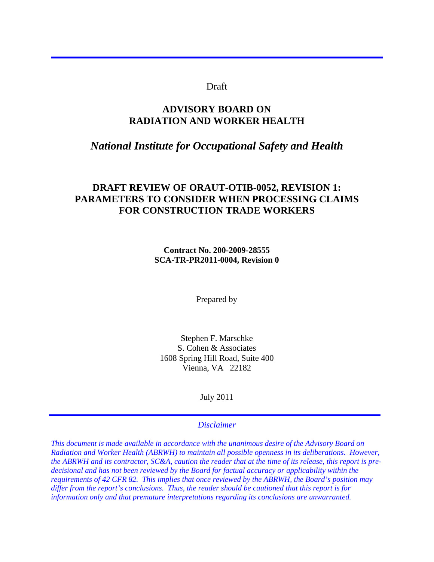## Draft

l

# **ADVISORY BOARD ON RADIATION AND WORKER HEALTH**

# *National Institute for Occupational Safety and Health*

# **DRAFT REVIEW OF ORAUT-OTIB-0052, REVISION 1: PARAMETERS TO CONSIDER WHEN PROCESSING CLAIMS FOR CONSTRUCTION TRADE WORKERS**

**Contract No. 200-2009-28555 SCA-TR-PR2011-0004, Revision 0** 

Prepared by

Stephen F. Marschke S. Cohen & Associates 1608 Spring Hill Road, Suite 400 Vienna, VA 22182

July 2011

#### *Disclaimer*

*This document is made available in accordance with the unanimous desire of the Advisory Board on Radiation and Worker Health (ABRWH) to maintain all possible openness in its deliberations. However, the ABRWH and its contractor, SC&A, caution the reader that at the time of its release, this report is predecisional and has not been reviewed by the Board for factual accuracy or applicability within the requirements of 42 CFR 82. This implies that once reviewed by the ABRWH, the Board's position may differ from the report's conclusions. Thus, the reader should be cautioned that this report is for information only and that premature interpretations regarding its conclusions are unwarranted.*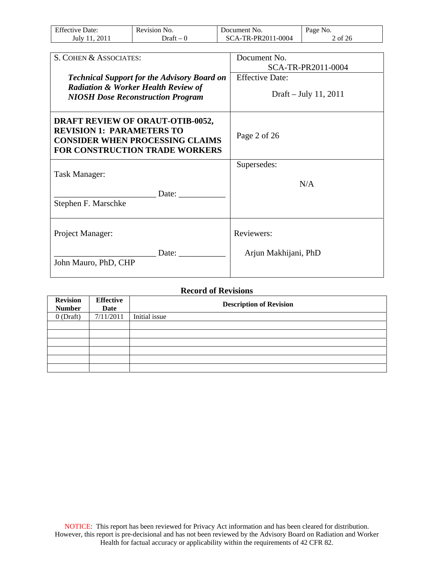| <b>Effective Date:</b> | Revision No. | Document No.       | Page No.  |
|------------------------|--------------|--------------------|-----------|
| 2011<br>July 11        | Draft – 0    | SCA-TR-PR2011-0004 | $2$ of 26 |

| S. COHEN & ASSOCIATES:                                                                                                                                         | Document No.           |
|----------------------------------------------------------------------------------------------------------------------------------------------------------------|------------------------|
|                                                                                                                                                                | SCA-TR-PR2011-0004     |
| <b>Technical Support for the Advisory Board on</b>                                                                                                             | <b>Effective Date:</b> |
| <b>Radiation &amp; Worker Health Review of</b><br><b>NIOSH Dose Reconstruction Program</b>                                                                     | Draft – July 11, 2011  |
| <b>DRAFT REVIEW OF ORAUT-OTIB-0052,</b><br><b>REVISION 1: PARAMETERS TO</b><br><b>CONSIDER WHEN PROCESSING CLAIMS</b><br><b>FOR CONSTRUCTION TRADE WORKERS</b> | Page 2 of 26           |
|                                                                                                                                                                | Supersedes:            |
| Task Manager:<br>Date:                                                                                                                                         | N/A                    |
| Stephen F. Marschke                                                                                                                                            |                        |
| Project Manager:                                                                                                                                               | Reviewers:             |
| Date:<br>John Mauro, PhD, CHP                                                                                                                                  | Arjun Makhijani, PhD   |

| <b>Record of Revisions</b>       |                          |               |                                |
|----------------------------------|--------------------------|---------------|--------------------------------|
| <b>Revision</b><br><b>Number</b> | <b>Effective</b><br>Date |               | <b>Description of Revision</b> |
| $0$ (Draft)                      | 7/11/2011                | Initial issue |                                |
|                                  |                          |               |                                |
|                                  |                          |               |                                |
|                                  |                          |               |                                |
|                                  |                          |               |                                |
|                                  |                          |               |                                |
|                                  |                          |               |                                |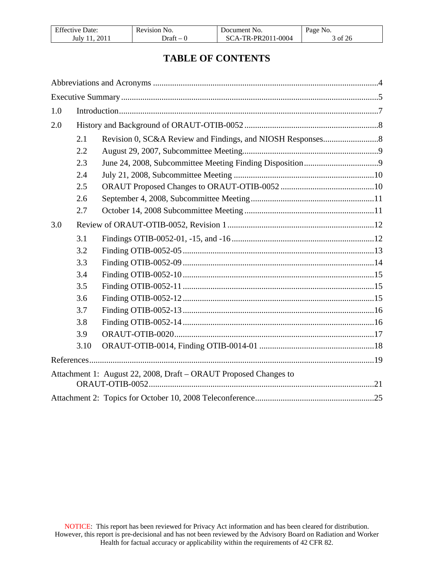| T C<br>Jate:<br>Effective | Revision<br>N <sub>O</sub>        | . Jocument -<br>NO.                          | Page<br>NO.                |
|---------------------------|-----------------------------------|----------------------------------------------|----------------------------|
| 2011<br>July 11           | ⊃raft<br>$\overline{\phantom{a}}$ | 1-0004<br>TR-PR2011<br>$^{\prime}$ $\Lambda$ | $\sigma$ of $2^{\epsilon}$ |

# **TABLE OF CONTENTS**

| 1.0 |      |                                                                  |  |
|-----|------|------------------------------------------------------------------|--|
| 2.0 |      |                                                                  |  |
|     | 2.1  |                                                                  |  |
|     | 2.2  |                                                                  |  |
|     | 2.3  |                                                                  |  |
|     | 2.4  |                                                                  |  |
|     | 2.5  |                                                                  |  |
|     | 2.6  |                                                                  |  |
|     | 2.7  |                                                                  |  |
| 3.0 |      |                                                                  |  |
|     | 3.1  |                                                                  |  |
|     | 3.2  |                                                                  |  |
|     | 3.3  |                                                                  |  |
|     | 3.4  |                                                                  |  |
|     | 3.5  |                                                                  |  |
|     | 3.6  |                                                                  |  |
|     | 3.7  |                                                                  |  |
|     | 3.8  |                                                                  |  |
|     | 3.9  |                                                                  |  |
|     | 3.10 |                                                                  |  |
|     |      |                                                                  |  |
|     |      | Attachment 1: August 22, 2008, Draft - ORAUT Proposed Changes to |  |
|     |      |                                                                  |  |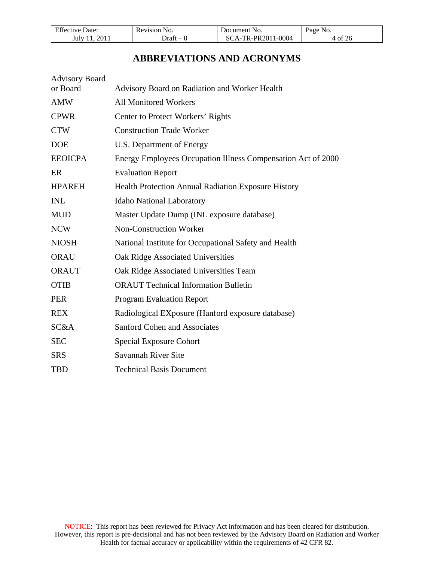| <b>Effective Date:</b> | Revision No. | Document No.       | Page No. |
|------------------------|--------------|--------------------|----------|
| 2011<br>July 11        | Draft – 1    | SCA-TR-PR2011-0004 | 4 of 26  |

# **ABBREVIATIONS AND ACRONYMS**

<span id="page-3-0"></span>

| <b>Advisory Board</b> |                                                              |
|-----------------------|--------------------------------------------------------------|
| or Board              | Advisory Board on Radiation and Worker Health                |
| <b>AMW</b>            | <b>All Monitored Workers</b>                                 |
| <b>CPWR</b>           | Center to Protect Workers' Rights                            |
| <b>CTW</b>            | <b>Construction Trade Worker</b>                             |
| <b>DOE</b>            | U.S. Department of Energy                                    |
| <b>EEOICPA</b>        | Energy Employees Occupation Illness Compensation Act of 2000 |
| ER                    | <b>Evaluation Report</b>                                     |
| <b>HPAREH</b>         | Health Protection Annual Radiation Exposure History          |
| <b>INL</b>            | <b>Idaho National Laboratory</b>                             |
| <b>MUD</b>            | Master Update Dump (INL exposure database)                   |
| <b>NCW</b>            | Non-Construction Worker                                      |
| <b>NIOSH</b>          | National Institute for Occupational Safety and Health        |
| <b>ORAU</b>           | Oak Ridge Associated Universities                            |
| <b>ORAUT</b>          | Oak Ridge Associated Universities Team                       |
| <b>OTIB</b>           | <b>ORAUT Technical Information Bulletin</b>                  |
| <b>PER</b>            | <b>Program Evaluation Report</b>                             |
| <b>REX</b>            | Radiological EXposure (Hanford exposure database)            |
| SC&A                  | <b>Sanford Cohen and Associates</b>                          |
| <b>SEC</b>            | <b>Special Exposure Cohort</b>                               |
| <b>SRS</b>            | Savannah River Site                                          |
| <b>TBD</b>            | <b>Technical Basis Document</b>                              |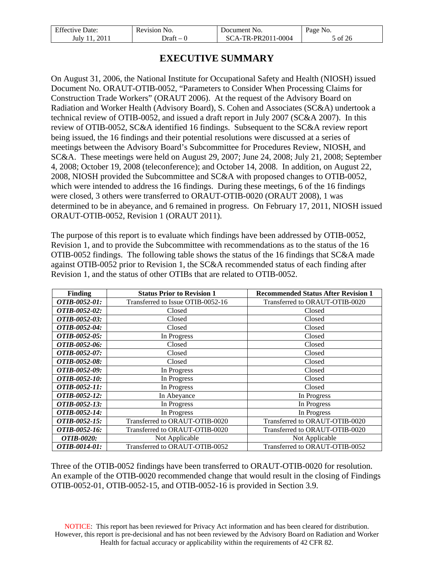| <b>Effective Date:</b> | Revision No. | Document No.       | Page No. |
|------------------------|--------------|--------------------|----------|
| 2011<br>July 11.       | - Draft –    | SCA-TR-PR2011-0004 | 5 of 26  |

# **EXECUTIVE SUMMARY**

<span id="page-4-0"></span>On August 31, 2006, the National Institute for Occupational Safety and Health (NIOSH) issued Document No. ORAUT-OTIB-0052, "Parameters to Consider When Processing Claims for Construction Trade Workers" (ORAUT 2006). At the request of the Advisory Board on Radiation and Worker Health (Advisory Board), S. Cohen and Associates (SC&A) undertook a technical review of OTIB-0052, and issued a draft report in July 2007 (SC&A 2007). In this review of OTIB-0052, SC&A identified 16 findings. Subsequent to the SC&A review report being issued, the 16 findings and their potential resolutions were discussed at a series of meetings between the Advisory Board's Subcommittee for Procedures Review, NIOSH, and SC&A. These meetings were held on August 29, 2007; June 24, 2008; July 21, 2008; September 4, 2008; October 19, 2008 (teleconference); and October 14, 2008. In addition, on August 22, 2008, NIOSH provided the Subcommittee and SC&A with proposed changes to OTIB-0052, which were intended to address the 16 findings. During these meetings, 6 of the 16 findings were closed, 3 others were transferred to ORAUT-OTIB-0020 (ORAUT 2008), 1 was determined to be in abeyance, and 6 remained in progress. On February 17, 2011, NIOSH issued ORAUT-OTIB-0052, Revision 1 (ORAUT 2011).

The purpose of this report is to evaluate which findings have been addressed by OTIB-0052, Revision 1, and to provide the Subcommittee with recommendations as to the status of the 16 OTIB-0052 findings. The following table shows the status of the 16 findings that SC&A made against OTIB-0052 prior to Revision 1, the SC&A recommended status of each finding after Revision 1, and the status of other OTIBs that are related to OTIB-0052.

| <b>Finding</b>           | <b>Status Prior to Revision 1</b> | <b>Recommended Status After Revision 1</b> |
|--------------------------|-----------------------------------|--------------------------------------------|
| OTIB-0052-01:            | Transferred to Issue OTIB-0052-16 | Transferred to ORAUT-OTIB-0020             |
| OTIB-0052-02:            | Closed                            | Closed                                     |
| OTIB-0052-03:            | Closed                            | Closed                                     |
| OTIB-0052-04:            | Closed                            | Closed                                     |
| OTIB-0052-05:            | In Progress                       | Closed                                     |
| OTIB-0052-06:            | Closed                            | Closed                                     |
| OTIB-0052-07:            | Closed                            | Closed                                     |
| OTIB-0052-08:            | Closed                            | Closed                                     |
| OTIB-0052-09:            | In Progress                       | Closed                                     |
| OTIB-0052-10:            | In Progress                       | Closed                                     |
| OTIB-0052-11:            | In Progress                       | Closed                                     |
| OTIB-0052-12:            | In Abeyance                       | In Progress                                |
| OTIB-0052-13:            | In Progress                       | In Progress                                |
| OTIB-0052-14:            | In Progress                       | In Progress                                |
| OTIB-0052-15:            | Transferred to ORAUT-OTIB-0020    | Transferred to ORAUT-OTIB-0020             |
| OTIB-0052-16:            | Transferred to ORAUT-OTIB-0020    | Transferred to ORAUT-OTIB-0020             |
| <i><b>OTIB-0020:</b></i> | Not Applicable                    | Not Applicable                             |
| OTIB-0014-01:            | Transferred to ORAUT-OTIB-0052    | Transferred to ORAUT-OTIB-0052             |

Three of the OTIB-0052 findings have been transferred to ORAUT-OTIB-0020 for resolution. An example of the OTIB-0020 recommended change that would result in the closing of Findings OTIB-0052-01, OTIB-0052-15, and OTIB-0052-16 is provided in Section [3.9](#page-16-0).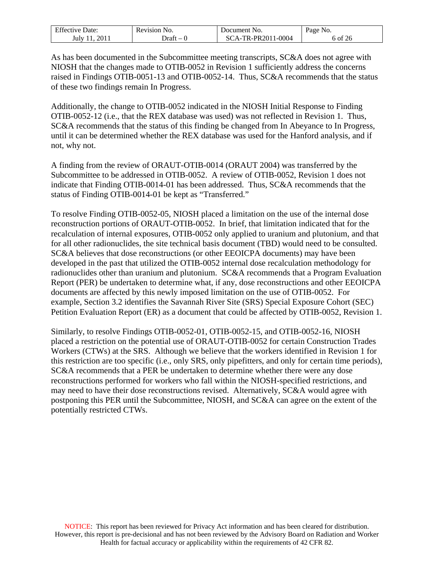| <b>Effective Date:</b> | Revision No. | Document No.     | Page No. |
|------------------------|--------------|------------------|----------|
| 2011                   | ⊃raft        | A-TR-PR2011-0004 | 6 of 26  |
| July J                 | $\sim$       | 80               |          |

As has been documented in the Subcommittee meeting transcripts, SC&A does not agree with NIOSH that the changes made to OTIB-0052 in Revision 1 sufficiently address the concerns raised in Findings OTIB-0051-13 and OTIB-0052-14. Thus, SC&A recommends that the status of these two findings remain In Progress.

Additionally, the change to OTIB-0052 indicated in the NIOSH Initial Response to Finding OTIB-0052-12 (i.e., that the REX database was used) was not reflected in Revision 1. Thus, SC&A recommends that the status of this finding be changed from In Abeyance to In Progress, until it can be determined whether the REX database was used for the Hanford analysis, and if not, why not.

A finding from the review of ORAUT-OTIB-0014 (ORAUT 2004) was transferred by the Subcommittee to be addressed in OTIB-0052. A review of OTIB-0052, Revision 1 does not indicate that Finding OTIB-0014-01 has been addressed. Thus, SC&A recommends that the status of Finding OTIB-0014-01 be kept as "Transferred."

To resolve Finding OTIB-0052-05, NIOSH placed a limitation on the use of the internal dose reconstruction portions of ORAUT-OTIB-0052. In brief, that limitation indicated that for the recalculation of internal exposures, OTIB-0052 only applied to uranium and plutonium, and that for all other radionuclides, the site technical basis document (TBD) would need to be consulted. SC&A believes that dose reconstructions (or other EEOICPA documents) may have been developed in the past that utilized the OTIB-0052 internal dose recalculation methodology for radionuclides other than uranium and plutonium. SC&A recommends that a Program Evaluation Report (PER) be undertaken to determine what, if any, dose reconstructions and other EEOICPA documents are affected by this newly imposed limitation on the use of OTIB-0052. For example, Section [3.2](#page-12-0) identifies the Savannah River Site (SRS) Special Exposure Cohort (SEC) Petition Evaluation Report (ER) as a document that could be affected by OTIB-0052, Revision 1.

Similarly, to resolve Findings OTIB-0052-01, OTIB-0052-15, and OTIB-0052-16, NIOSH placed a restriction on the potential use of ORAUT-OTIB-0052 for certain Construction Trades Workers (CTWs) at the SRS. Although we believe that the workers identified in Revision 1 for this restriction are too specific (i.e., only SRS, only pipefitters, and only for certain time periods), SC&A recommends that a PER be undertaken to determine whether there were any dose reconstructions performed for workers who fall within the NIOSH-specified restrictions, and may need to have their dose reconstructions revised. Alternatively, SC&A would agree with postponing this PER until the Subcommittee, NIOSH, and SC&A can agree on the extent of the potentially restricted CTWs.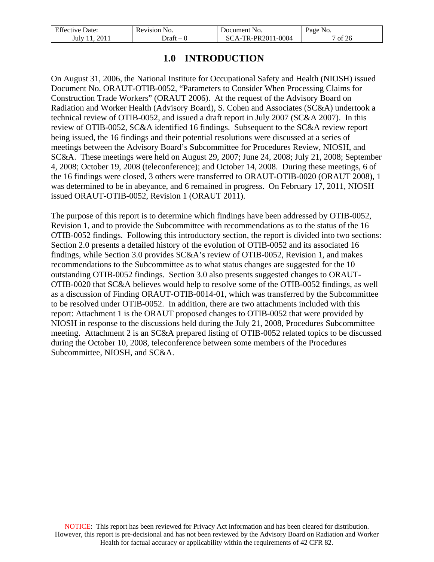| <b>Effective Date:</b> | Revision No. | Document No.       | Page No. |
|------------------------|--------------|--------------------|----------|
| July 11, 2011          | -Oraft – O   | SCA-TR-PR2011-0004 | of 26    |

# **1.0 INTRODUCTION**

<span id="page-6-0"></span>On August 31, 2006, the National Institute for Occupational Safety and Health (NIOSH) issued Document No. ORAUT-OTIB-0052, "Parameters to Consider When Processing Claims for Construction Trade Workers" (ORAUT 2006). At the request of the Advisory Board on Radiation and Worker Health (Advisory Board), S. Cohen and Associates (SC&A) undertook a technical review of OTIB-0052, and issued a draft report in July 2007 (SC&A 2007). In this review of OTIB-0052, SC&A identified 16 findings. Subsequent to the SC&A review report being issued, the 16 findings and their potential resolutions were discussed at a series of meetings between the Advisory Board's Subcommittee for Procedures Review, NIOSH, and SC&A. These meetings were held on August 29, 2007; June 24, 2008; July 21, 2008; September 4, 2008; October 19, 2008 (teleconference); and October 14, 2008. During these meetings, 6 of the 16 findings were closed, 3 others were transferred to ORAUT-OTIB-0020 (ORAUT 2008), 1 was determined to be in abeyance, and 6 remained in progress. On February 17, 2011, NIOSH issued ORAUT-OTIB-0052, Revision 1 (ORAUT 2011).

The purpose of this report is to determine which findings have been addressed by OTIB-0052, Revision 1, and to provide the Subcommittee with recommendations as to the status of the 16 OTIB-0052 findings. Following this introductory section, the report is divided into two sections: Section [2.0](#page-7-0) presents a detailed history of the evolution of OTIB-0052 and its associated 16 findings, while Section [3.0](#page-11-0) provides SC&A's review of OTIB-0052, Revision 1, and makes recommendations to the Subcommittee as to what status changes are suggested for the 10 outstanding OTIB-0052 findings. Section [3.0](#page-11-0) also presents suggested changes to ORAUT-OTIB-0020 that SC&A believes would help to resolve some of the OTIB-0052 findings, as well as a discussion of Finding ORAUT-OTIB-0014-01, which was transferred by the Subcommittee to be resolved under OTIB-0052. In addition, there are two attachments included with this report: Attachment 1 is the ORAUT proposed changes to OTIB-0052 that were provided by NIOSH in response to the discussions held during the July 21, 2008, Procedures Subcommittee meeting. Attachment 2 is an SC&A prepared listing of OTIB-0052 related topics to be discussed during the October 10, 2008, teleconference between some members of the Procedures Subcommittee, NIOSH, and SC&A.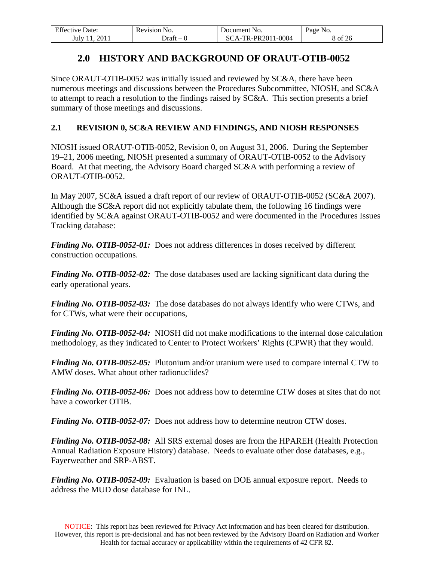| <b>Effective Date:</b> | Revision No.             | Document No.      | Page No. |
|------------------------|--------------------------|-------------------|----------|
| 2011                   | Draft                    | CA-TR-PR2011-0004 | 8 of 26  |
| July 11                | $\overline{\phantom{a}}$ | SC.               |          |

# **2.0 HISTORY AND BACKGROUND OF ORAUT-OTIB-0052**

<span id="page-7-0"></span>Since ORAUT-OTIB-0052 was initially issued and reviewed by SC&A, there have been numerous meetings and discussions between the Procedures Subcommittee, NIOSH, and SC&A to attempt to reach a resolution to the findings raised by SC&A. This section presents a brief summary of those meetings and discussions.

## <span id="page-7-1"></span>**2.1 REVISION 0, SC&A REVIEW AND FINDINGS, AND NIOSH RESPONSES**

NIOSH issued ORAUT-OTIB-0052, Revision 0, on August 31, 2006. During the September 19–21, 2006 meeting, NIOSH presented a summary of ORAUT-OTIB-0052 to the Advisory Board. At that meeting, the Advisory Board charged SC&A with performing a review of ORAUT-OTIB-0052.

In May 2007, SC&A issued a draft report of our review of ORAUT-OTIB-0052 (SC&A 2007). Although the SC&A report did not explicitly tabulate them, the following 16 findings were identified by SC&A against ORAUT-OTIB-0052 and were documented in the Procedures Issues Tracking database:

*Finding No. OTIB-0052-01:* Does not address differences in doses received by different construction occupations.

*Finding No. OTIB-0052-02:* The dose databases used are lacking significant data during the early operational years.

*Finding No. OTIB-0052-03:* The dose databases do not always identify who were CTWs, and for CTWs, what were their occupations,

*Finding No. OTIB-0052-04:* NIOSH did not make modifications to the internal dose calculation methodology, as they indicated to Center to Protect Workers' Rights (CPWR) that they would.

*Finding No. OTIB-0052-05:* Plutonium and/or uranium were used to compare internal CTW to AMW doses. What about other radionuclides?

*Finding No. OTIB-0052-06:* Does not address how to determine CTW doses at sites that do not have a coworker OTIB.

*Finding No. OTIB-0052-07:* Does not address how to determine neutron CTW doses.

*Finding No. OTIB-0052-08:* All SRS external doses are from the HPAREH (Health Protection Annual Radiation Exposure History) database. Needs to evaluate other dose databases, e.g., Fayerweather and SRP-ABST.

*Finding No. OTIB-0052-09:* Evaluation is based on DOE annual exposure report. Needs to address the MUD dose database for INL.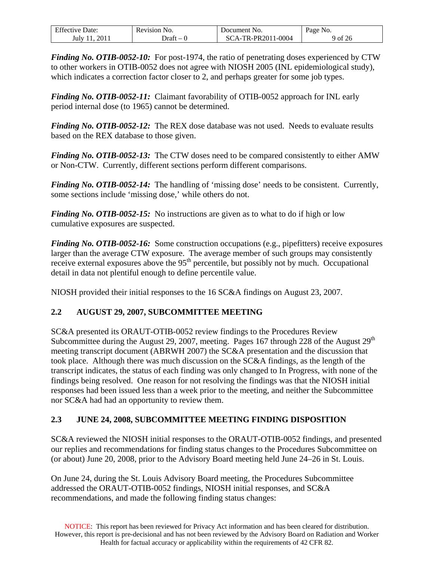| Effective<br>Date: | Revision No. | Document No.                      | <b>Page No.</b>              |
|--------------------|--------------|-----------------------------------|------------------------------|
| 201.<br>July 1     | Jraft        | TR-PR2011-0004<br>$\Delta$ -<br>Ñ | $\sim$ $\sim$<br>' of<br>-26 |

*Finding No. OTIB-0052-10:* For post-1974, the ratio of penetrating doses experienced by CTW to other workers in OTIB-0052 does not agree with NIOSH 2005 (INL epidemiological study), which indicates a correction factor closer to 2, and perhaps greater for some job types.

*Finding No. OTIB-0052-11:* Claimant favorability of OTIB-0052 approach for INL early period internal dose (to 1965) cannot be determined.

*Finding No. OTIB-0052-12:* The REX dose database was not used. Needs to evaluate results based on the REX database to those given.

*Finding No. OTIB-0052-13:* The CTW doses need to be compared consistently to either AMW or Non-CTW. Currently, different sections perform different comparisons.

*Finding No. OTIB-0052-14:* The handling of 'missing dose' needs to be consistent. Currently, some sections include 'missing dose,' while others do not.

*Finding No. OTIB-0052-15:* No instructions are given as to what to do if high or low cumulative exposures are suspected.

*Finding No. OTIB-0052-16:* Some construction occupations (e.g., pipefitters) receive exposures larger than the average CTW exposure. The average member of such groups may consistently receive external exposures above the  $95<sup>th</sup>$  percentile, but possibly not by much. Occupational detail in data not plentiful enough to define percentile value.

NIOSH provided their initial responses to the 16 SC&A findings on August 23, 2007.

## <span id="page-8-0"></span>**2.2 AUGUST 29, 2007, SUBCOMMITTEE MEETING**

SC&A presented its ORAUT-OTIB-0052 review findings to the Procedures Review Subcommittee during the August 29, 2007, meeting. Pages 167 through 228 of the August  $29<sup>th</sup>$ meeting transcript document (ABRWH 2007) the SC&A presentation and the discussion that took place. Although there was much discussion on the SC&A findings, as the length of the transcript indicates, the status of each finding was only changed to In Progress, with none of the findings being resolved. One reason for not resolving the findings was that the NIOSH initial responses had been issued less than a week prior to the meeting, and neither the Subcommittee nor SC&A had had an opportunity to review them.

# <span id="page-8-1"></span>**2.3 JUNE 24, 2008, SUBCOMMITTEE MEETING FINDING DISPOSITION**

SC&A reviewed the NIOSH initial responses to the ORAUT-OTIB-0052 findings, and presented our replies and recommendations for finding status changes to the Procedures Subcommittee on (or about) June 20, 2008, prior to the Advisory Board meeting held June 24–26 in St. Louis.

On June 24, during the St. Louis Advisory Board meeting, the Procedures Subcommittee addressed the ORAUT-OTIB-0052 findings, NIOSH initial responses, and SC&A recommendations, and made the following finding status changes: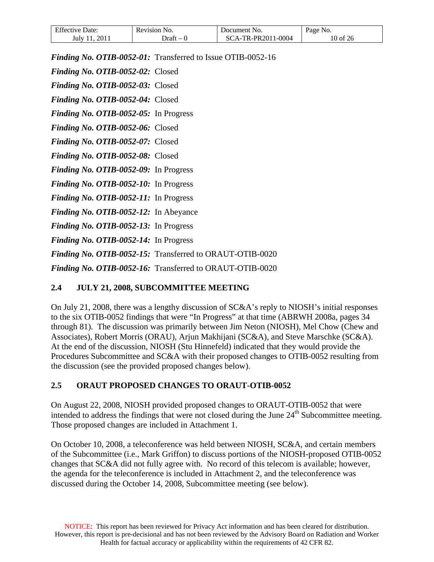| <b>Effective Date:</b> | Revision No. | Document No.      | Page No. |
|------------------------|--------------|-------------------|----------|
| 2011                   | ⊃rant        | CA-TR-PR2011-0004 | 10 of 26 |
| July 11                | $-1$         | SC.               |          |

*Finding No. OTIB-0052-01:* Transferred to Issue OTIB-0052-16

*Finding No. OTIB-0052-02:* Closed

*Finding No. OTIB-0052-03:* Closed

*Finding No. OTIB-0052-04:* Closed

*Finding No. OTIB-0052-05:* In Progress

*Finding No. OTIB-0052-06:* Closed

*Finding No. OTIB-0052-07:* Closed

*Finding No. OTIB-0052-08:* Closed

*Finding No. OTIB-0052-09:* In Progress

*Finding No. OTIB-0052-10:* In Progress

*Finding No. OTIB-0052-11:* In Progress

*Finding No. OTIB-0052-12:* In Abeyance

*Finding No. OTIB-0052-13:* In Progress

*Finding No. OTIB-0052-14:* In Progress

*Finding No. OTIB-0052-15:* Transferred to ORAUT-OTIB-0020

*Finding No. OTIB-0052-16:* Transferred to ORAUT-OTIB-0020

## <span id="page-9-0"></span>**2.4 JULY 21, 2008, SUBCOMMITTEE MEETING**

On July 21, 2008, there was a lengthy discussion of SC&A's reply to NIOSH's initial responses to the six OTIB-0052 findings that were "In Progress" at that time (ABRWH 2008a, pages 34 through 81). The discussion was primarily between Jim Neton (NIOSH), Mel Chow (Chew and Associates), Robert Morris (ORAU), Arjun Makhijani (SC&A), and Steve Marschke (SC&A). At the end of the discussion, NIOSH (Stu Hinnefeld) indicated that they would provide the Procedures Subcommittee and SC&A with their proposed changes to OTIB-0052 resulting from the discussion (see the provided proposed changes below).

## <span id="page-9-1"></span>**2.5 ORAUT PROPOSED CHANGES TO ORAUT-OTIB-0052**

On August 22, 2008, NIOSH provided proposed changes to ORAUT-OTIB-0052 that were intended to address the findings that were not closed during the June  $24<sup>th</sup>$  Subcommittee meeting. Those proposed changes are included in Attachment 1.

On October 10, 2008, a teleconference was held between NIOSH, SC&A, and certain members of the Subcommittee (i.e., Mark Griffon) to discuss portions of the NIOSH-proposed OTIB-0052 changes that SC&A did not fully agree with. No record of this telecom is available; however, the agenda for the teleconference is included in Attachment 2, and the teleconference was discussed during the October 14, 2008, Subcommittee meeting (see below).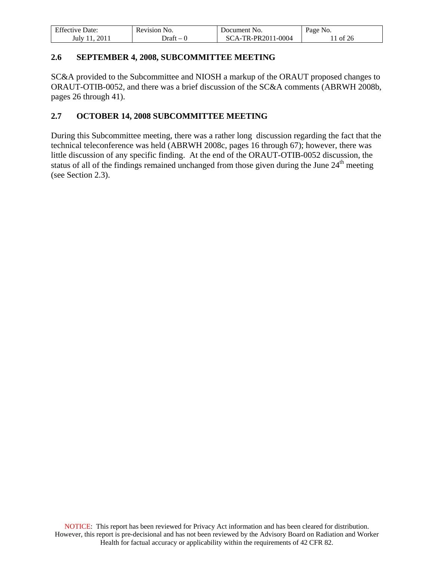| Effective Date: | Revision No. | Document No.       | Page No. |
|-----------------|--------------|--------------------|----------|
| 2011<br>July 11 | )raft – 0    | SCA-TR-PR2011-0004 | of 26    |

## <span id="page-10-0"></span>**2.6 SEPTEMBER 4, 2008, SUBCOMMITTEE MEETING**

SC&A provided to the Subcommittee and NIOSH a markup of the ORAUT proposed changes to ORAUT-OTIB-0052, and there was a brief discussion of the SC&A comments (ABRWH 2008b, pages 26 through 41).

## <span id="page-10-1"></span>**2.7 OCTOBER 14, 2008 SUBCOMMITTEE MEETING**

During this Subcommittee meeting, there was a rather long discussion regarding the fact that the technical teleconference was held (ABRWH 2008c, pages 16 through 67); however, there was little discussion of any specific finding. At the end of the ORAUT-OTIB-0052 discussion, the status of all of the findings remained unchanged from those given during the June 24<sup>th</sup> meeting (see Section [2.3](#page-8-1)).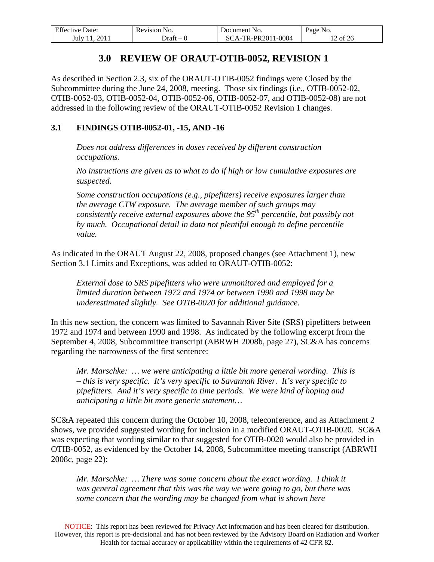| <b>Effective Date:</b> | Revision No. | Document No.       | Page No. |
|------------------------|--------------|--------------------|----------|
| 2011<br>July 11        | Draft – 0    | SCA-TR-PR2011-0004 | 12 of 26 |

# **3.0 REVIEW OF ORAUT-OTIB-0052, REVISION 1**

<span id="page-11-0"></span>As described in Section [2.3,](#page-8-1) six of the ORAUT-OTIB-0052 findings were Closed by the Subcommittee during the June 24, 2008, meeting. Those six findings (i.e., OTIB-0052-02, OTIB-0052-03, OTIB-0052-04, OTIB-0052-06, OTIB-0052-07, and OTIB-0052-08) are not addressed in the following review of the ORAUT-OTIB-0052 Revision 1 changes.

## <span id="page-11-1"></span>**3.1 FINDINGS OTIB-0052-01, -15, AND -16**

*Does not address differences in doses received by different construction occupations.* 

*No instructions are given as to what to do if high or low cumulative exposures are suspected.* 

*Some construction occupations (e.g., pipefitters) receive exposures larger than the average CTW exposure. The average member of such groups may consistently receive external exposures above the 95th percentile, but possibly not by much. Occupational detail in data not plentiful enough to define percentile value.* 

As indicated in the ORAUT August 22, 2008, proposed changes (see Attachment 1), new Section 3.1 Limits and Exceptions, was added to ORAUT-OTIB-0052:

*External dose to SRS pipefitters who were unmonitored and employed for a limited duration between 1972 and 1974 or between 1990 and 1998 may be underestimated slightly. See OTIB-0020 for additional guidance.* 

In this new section, the concern was limited to Savannah River Site (SRS) pipefitters between 1972 and 1974 and between 1990 and 1998. As indicated by the following excerpt from the September 4, 2008, Subcommittee transcript (ABRWH 2008b, page 27), SC&A has concerns regarding the narrowness of the first sentence:

*Mr. Marschke: … we were anticipating a little bit more general wording. This is – this is very specific. It's very specific to Savannah River. It's very specific to pipefitters. And it's very specific to time periods. We were kind of hoping and anticipating a little bit more generic statement…* 

SC&A repeated this concern during the October 10, 2008, teleconference, and as Attachment 2 shows, we provided suggested wording for inclusion in a modified ORAUT-OTIB-0020. SC&A was expecting that wording similar to that suggested for OTIB-0020 would also be provided in OTIB-0052, as evidenced by the October 14, 2008, Subcommittee meeting transcript (ABRWH 2008c, page 22):

*Mr. Marschke: … There was some concern about the exact wording. I think it was general agreement that this was the way we were going to go, but there was some concern that the wording may be changed from what is shown here* 

NOTICE: This report has been reviewed for Privacy Act information and has been cleared for distribution. However, this report is pre-decisional and has not been reviewed by the Advisory Board on Radiation and Worker Health for factual accuracy or applicability within the requirements of 42 CFR 82.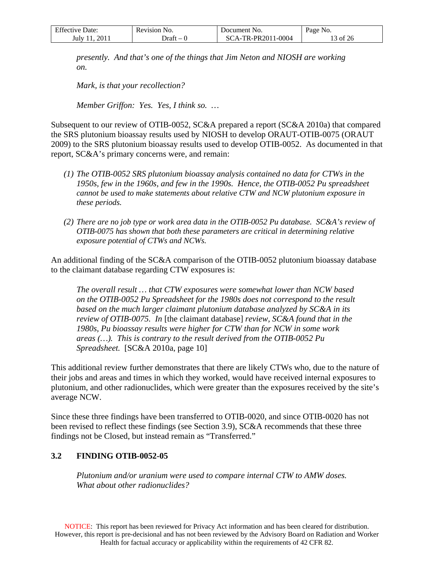| <b>Effective Date:</b> | Revision No. | Document No.       | Page No. |
|------------------------|--------------|--------------------|----------|
| July 11, 2011          | Draft – 0    | SCA-TR-PR2011-0004 | 13 of 26 |

*presently. And that's one of the things that Jim Neton and NIOSH are working on.* 

*Mark, is that your recollection?* 

*Member Griffon: Yes. Yes, I think so. …* 

Subsequent to our review of OTIB-0052, SC&A prepared a report (SC&A 2010a) that compared the SRS plutonium bioassay results used by NIOSH to develop ORAUT-OTIB-0075 (ORAUT 2009) to the SRS plutonium bioassay results used to develop OTIB-0052. As documented in that report, SC&A's primary concerns were, and remain:

- *(1) The OTIB-0052 SRS plutonium bioassay analysis contained no data for CTWs in the 1950s, few in the 1960s, and few in the 1990s. Hence, the OTIB-0052 Pu spreadsheet cannot be used to make statements about relative CTW and NCW plutonium exposure in these periods.*
- *(2) There are no job type or work area data in the OTIB-0052 Pu database. SC&A's review of OTIB-0075 has shown that both these parameters are critical in determining relative exposure potential of CTWs and NCWs.*

An additional finding of the SC&A comparison of the OTIB-0052 plutonium bioassay database to the claimant database regarding CTW exposures is:

*The overall result … that CTW exposures were somewhat lower than NCW based on the OTIB-0052 Pu Spreadsheet for the 1980s does not correspond to the result based on the much larger claimant plutonium database analyzed by SC&A in its review of OTIB-0075. In* [the claimant database] *review, SC&A found that in the 1980s, Pu bioassay results were higher for CTW than for NCW in some work areas (…). This is contrary to the result derived from the OTIB-0052 Pu Spreadsheet.* [SC&A 2010a, page 10]

This additional review further demonstrates that there are likely CTWs who, due to the nature of their jobs and areas and times in which they worked, would have received internal exposures to plutonium, and other radionuclides, which were greater than the exposures received by the site's average NCW.

Since these three findings have been transferred to OTIB-0020, and since OTIB-0020 has not been revised to reflect these findings (see Section [3.9\)](#page-16-0), SC&A recommends that these three findings not be Closed, but instead remain as "Transferred."

### <span id="page-12-0"></span>**3.2 FINDING OTIB-0052-05**

*Plutonium and/or uranium were used to compare internal CTW to AMW doses. What about other radionuclides?*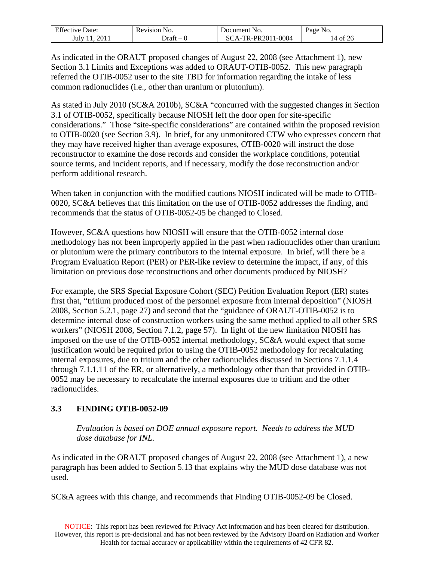| <b>Effective Date:</b> | Revision No.    | Document No.       | Page No. |
|------------------------|-----------------|--------------------|----------|
| 2011<br>July 11        | ⊃raft<br>$\sim$ | SCA-TR-PR2011-0004 | 14 of 26 |

As indicated in the ORAUT proposed changes of August 22, 2008 (see Attachment 1), new Section 3.1 Limits and Exceptions was added to ORAUT-OTIB-0052. This new paragraph referred the OTIB-0052 user to the site TBD for information regarding the intake of less common radionuclides (i.e., other than uranium or plutonium).

As stated in July 2010 (SC&A 2010b), SC&A "concurred with the suggested changes in Section 3.1 of OTIB-0052, specifically because NIOSH left the door open for site-specific considerations." Those "site-specific considerations" are contained within the proposed revision to OTIB-0020 (see Section [3.9\)](#page-16-0). In brief, for any unmonitored CTW who expresses concern that they may have received higher than average exposures, OTIB-0020 will instruct the dose reconstructor to examine the dose records and consider the workplace conditions, potential source terms, and incident reports, and if necessary, modify the dose reconstruction and/or perform additional research.

When taken in conjunction with the modified cautions NIOSH indicated will be made to OTIB-0020, SC&A believes that this limitation on the use of OTIB-0052 addresses the finding, and recommends that the status of OTIB-0052-05 be changed to Closed.

However, SC&A questions how NIOSH will ensure that the OTIB-0052 internal dose methodology has not been improperly applied in the past when radionuclides other than uranium or plutonium were the primary contributors to the internal exposure. In brief, will there be a Program Evaluation Report (PER) or PER-like review to determine the impact, if any, of this limitation on previous dose reconstructions and other documents produced by NIOSH?

For example, the SRS Special Exposure Cohort (SEC) Petition Evaluation Report (ER) states first that, "tritium produced most of the personnel exposure from internal deposition" (NIOSH 2008, Section 5.2.1, page 27) and second that the "guidance of ORAUT-OTIB-0052 is to determine internal dose of construction workers using the same method applied to all other SRS workers" (NIOSH 2008, Section 7.1.2, page 57). In light of the new limitation NIOSH has imposed on the use of the OTIB-0052 internal methodology, SC&A would expect that some justification would be required prior to using the OTIB-0052 methodology for recalculating internal exposures, due to tritium and the other radionuclides discussed in Sections 7.1.1.4 through 7.1.1.11 of the ER, or alternatively, a methodology other than that provided in OTIB-0052 may be necessary to recalculate the internal exposures due to tritium and the other radionuclides.

## <span id="page-13-0"></span>**3.3 FINDING OTIB-0052-09**

*Evaluation is based on DOE annual exposure report. Needs to address the MUD dose database for INL.* 

As indicated in the ORAUT proposed changes of August 22, 2008 (see Attachment 1), a new paragraph has been added to Section 5.13 that explains why the MUD dose database was not used.

SC&A agrees with this change, and recommends that Finding OTIB-0052-09 be Closed.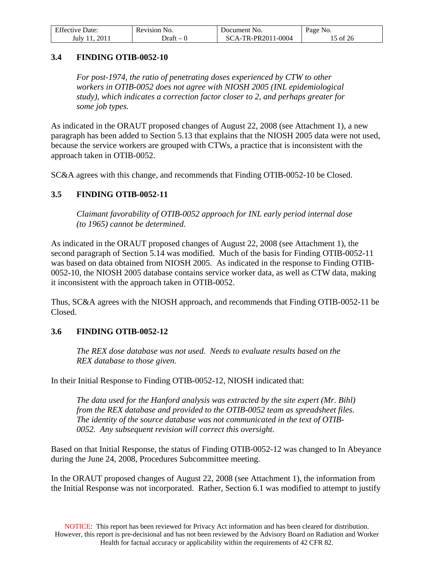| <b>Effective Date:</b> | Revision No. | Document No.       | Page No. |
|------------------------|--------------|--------------------|----------|
| 2011<br>July 11        | $Draff - 1$  | SCA-TR-PR2011-0004 | 15 of 26 |

### <span id="page-14-0"></span>**3.4 FINDING OTIB-0052-10**

*For post-1974, the ratio of penetrating doses experienced by CTW to other workers in OTIB-0052 does not agree with NIOSH 2005 (INL epidemiological study), which indicates a correction factor closer to 2, and perhaps greater for some job types.* 

As indicated in the ORAUT proposed changes of August 22, 2008 (see Attachment 1), a new paragraph has been added to Section 5.13 that explains that the NIOSH 2005 data were not used, because the service workers are grouped with CTWs, a practice that is inconsistent with the approach taken in OTIB-0052.

SC&A agrees with this change, and recommends that Finding OTIB-0052-10 be Closed.

### <span id="page-14-1"></span>**3.5 FINDING OTIB-0052-11**

*Claimant favorability of OTIB-0052 approach for INL early period internal dose (to 1965) cannot be determined.* 

As indicated in the ORAUT proposed changes of August 22, 2008 (see Attachment 1), the second paragraph of Section 5.14 was modified. Much of the basis for Finding OTIB-0052-11 was based on data obtained from NIOSH 2005. As indicated in the response to Finding OTIB-0052-10, the NIOSH 2005 database contains service worker data, as well as CTW data, making it inconsistent with the approach taken in OTIB-0052.

Thus, SC&A agrees with the NIOSH approach, and recommends that Finding OTIB-0052-11 be Closed.

### <span id="page-14-2"></span>**3.6 FINDING OTIB-0052-12**

*The REX dose database was not used. Needs to evaluate results based on the REX database to those given.* 

In their Initial Response to Finding OTIB-0052-12, NIOSH indicated that:

*The data used for the Hanford analysis was extracted by the site expert (Mr. Bihl) from the REX database and provided to the OTIB-0052 team as spreadsheet files. The identity of the source database was not communicated in the text of OTIB-0052. Any subsequent revision will correct this oversight.* 

Based on that Initial Response, the status of Finding OTIB-0052-12 was changed to In Abeyance during the June 24, 2008, Procedures Subcommittee meeting.

In the ORAUT proposed changes of August 22, 2008 (see Attachment 1), the information from the Initial Response was not incorporated. Rather, Section 6.1 was modified to attempt to justify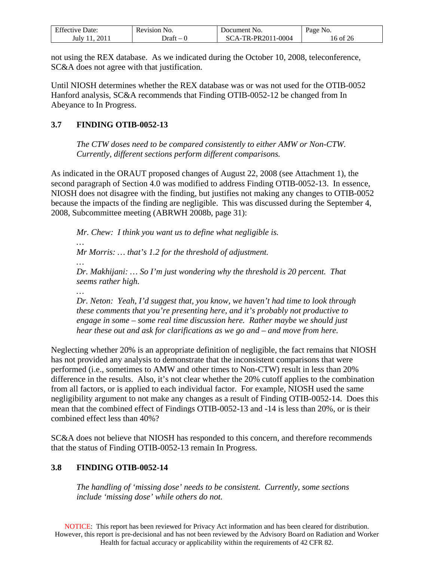| <b>Effective Date:</b> | Revision No. | Document No.                    | Page No. |
|------------------------|--------------|---------------------------------|----------|
| 2011<br>July 1         | - Draft      | $\sqrt{A-TR-PR2011-0004}$<br>80 | 16 of 26 |

not using the REX database. As we indicated during the October 10, 2008, teleconference, SC&A does not agree with that justification.

Until NIOSH determines whether the REX database was or was not used for the OTIB-0052 Hanford analysis, SC&A recommends that Finding OTIB-0052-12 be changed from In Abeyance to In Progress.

## <span id="page-15-0"></span>**3.7 FINDING OTIB-0052-13**

*The CTW doses need to be compared consistently to either AMW or Non-CTW. Currently, different sections perform different comparisons.* 

As indicated in the ORAUT proposed changes of August 22, 2008 (see Attachment 1), the second paragraph of Section 4.0 was modified to address Finding OTIB-0052-13. In essence, NIOSH does not disagree with the finding, but justifies not making any changes to OTIB-0052 because the impacts of the finding are negligible. This was discussed during the September 4, 2008, Subcommittee meeting (ABRWH 2008b, page 31):

*Mr. Chew: I think you want us to define what negligible is. … Mr Morris: … that's 1.2 for the threshold of adjustment. … Dr. Makhijani: … So I'm just wondering why the threshold is 20 percent. That seems rather high. … Dr. Neton: Yeah, I'd suggest that, you know, we haven't had time to look through these comments that you're presenting here, and it's probably not productive to* 

*engage in some – some real time discussion here. Rather maybe we should just hear these out and ask for clarifications as we go and – and move from here.* 

Neglecting whether 20% is an appropriate definition of negligible, the fact remains that NIOSH has not provided any analysis to demonstrate that the inconsistent comparisons that were performed (i.e., sometimes to AMW and other times to Non-CTW) result in less than 20% difference in the results. Also, it's not clear whether the 20% cutoff applies to the combination from all factors, or is applied to each individual factor. For example, NIOSH used the same negligibility argument to not make any changes as a result of Finding OTIB-0052-14. Does this mean that the combined effect of Findings OTIB-0052-13 and -14 is less than 20%, or is their combined effect less than 40%?

SC&A does not believe that NIOSH has responded to this concern, and therefore recommends that the status of Finding OTIB-0052-13 remain In Progress.

## <span id="page-15-1"></span>**3.8 FINDING OTIB-0052-14**

*The handling of 'missing dose' needs to be consistent. Currently, some sections include 'missing dose' while others do not.*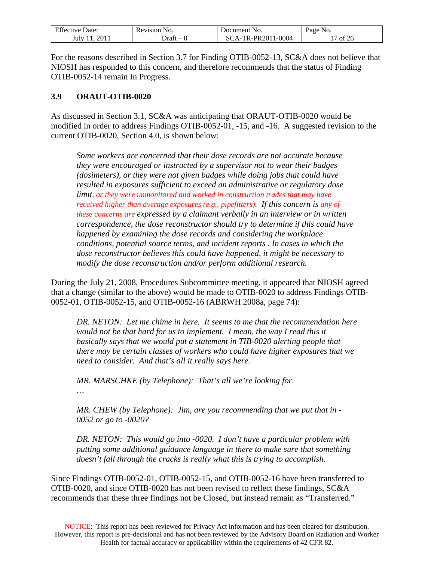| <b>Effective Date:</b> | Revision No. | Document No.      | Page No. |
|------------------------|--------------|-------------------|----------|
| 2011                   | )raft        | CA-TR-PR2011-0004 | of $26$  |
| July                   | $\sim$       | \`{               |          |

For the reasons described in Section [3.7](#page-15-0) for Finding OTIB-0052-13, SC&A does not believe that NIOSH has responded to this concern, and therefore recommends that the status of Finding OTIB-0052-14 remain In Progress.

### <span id="page-16-0"></span>**3.9 ORAUT-OTIB-0020**

As discussed in Section [3.1,](#page-11-1) SC&A was anticipating that ORAUT-OTIB-0020 would be modified in order to address Findings OTIB-0052-01, -15, and -16. A suggested revision to the current OTIB-0020, Section 4.0, is shown below:

*Some workers are concerned that their dose records are not accurate because they were encouraged or instructed by a supervisor not to wear their badges (dosimeters), or they were not given badges while doing jobs that could have resulted in exposures sufficient to exceed an administrative or regulatory dose limit, or they were unmonitored and worked in construction trades that may have received higher than average exposures (e.g., pipefitters). If this concern is any of these concerns are expressed by a claimant verbally in an interview or in written correspondence, the dose reconstructor should try to determine if this could have happened by examining the dose records and considering the workplace conditions, potential source terms, and incident reports . In cases in which the dose reconstructor believes this could have happened, it might be necessary to modify the dose reconstruction and/or perform additional research.* 

During the July 21, 2008, Procedures Subcommittee meeting, it appeared that NIOSH agreed that a change (similar to the above) would be made to OTIB-0020 to address Findings OTIB-0052-01, OTIB-0052-15, and OTIB-0052-16 (ABRWH 2008a, page 74):

*DR. NETON: Let me chime in here. It seems to me that the recommendation here would not be that hard for us to implement. I mean, the way I read this it basically says that we would put a statement in TIB-0020 alerting people that there may be certain classes of workers who could have higher exposures that we need to consider. And that's all it really says here.* 

*MR. MARSCHKE (by Telephone): That's all we're looking for.* 

*…* 

*MR. CHEW (by Telephone): Jim, are you recommending that we put that in - 0052 or go to -0020?* 

*DR. NETON: This would go into -0020. I don't have a particular problem with putting some additional guidance language in there to make sure that something doesn't fall through the cracks is really what this is trying to accomplish.* 

Since Findings OTIB-0052-01, OTIB-0052-15, and OTIB-0052-16 have been transferred to OTIB-0020, and since OTIB-0020 has not been revised to reflect these findings, SC&A recommends that these three findings not be Closed, but instead remain as "Transferred."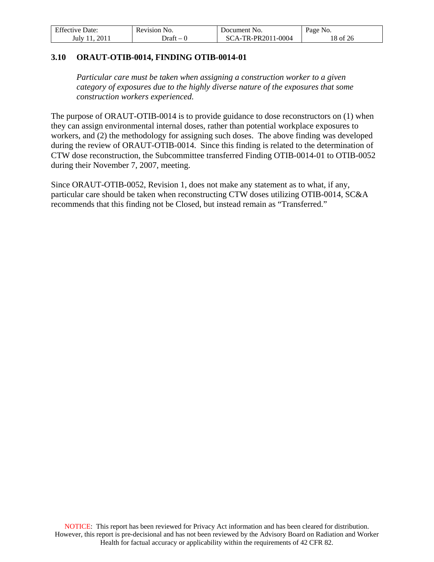| <b>Effective Date:</b> | Revision No. | Document No.       | Page No. |
|------------------------|--------------|--------------------|----------|
| 2011<br>July 11        | $Draff - 1$  | SCA-TR-PR2011-0004 | 18 of 26 |

### <span id="page-17-0"></span>**3.10 ORAUT-OTIB-0014, FINDING OTIB-0014-01**

*Particular care must be taken when assigning a construction worker to a given category of exposures due to the highly diverse nature of the exposures that some construction workers experienced.* 

The purpose of ORAUT-OTIB-0014 is to provide guidance to dose reconstructors on (1) when they can assign environmental internal doses, rather than potential workplace exposures to workers, and (2) the methodology for assigning such doses. The above finding was developed during the review of ORAUT-OTIB-0014. Since this finding is related to the determination of CTW dose reconstruction, the Subcommittee transferred Finding OTIB-0014-01 to OTIB-0052 during their November 7, 2007, meeting.

Since ORAUT-OTIB-0052, Revision 1, does not make any statement as to what, if any, particular care should be taken when reconstructing CTW doses utilizing OTIB-0014, SC&A recommends that this finding not be Closed, but instead remain as "Transferred."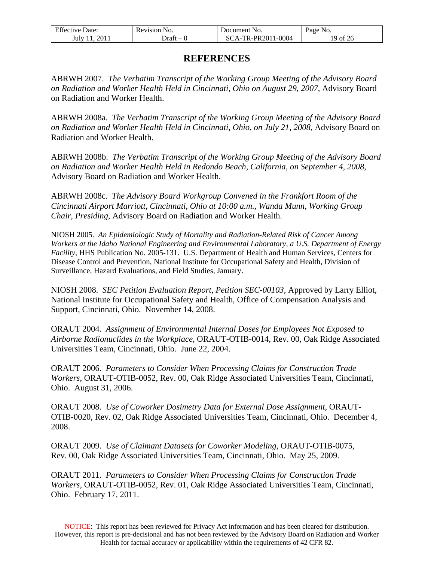| <b>Effective Date:</b> | Revision No. | Document No.       | Page No. |
|------------------------|--------------|--------------------|----------|
| July 11, 2011          | Draft – 0    | SCA-TR-PR2011-0004 | 19 of 26 |

## **REFERENCES**

<span id="page-18-0"></span>ABRWH 2007. *The Verbatim Transcript of the Working Group Meeting of the Advisory Board on Radiation and Worker Health Held in Cincinnati, Ohio on August 29, 2007*, Advisory Board on Radiation and Worker Health.

ABRWH 2008a. *The Verbatim Transcript of the Working Group Meeting of the Advisory Board on Radiation and Worker Health Held in Cincinnati, Ohio, on July 21, 2008*, Advisory Board on Radiation and Worker Health.

ABRWH 2008b. *The Verbatim Transcript of the Working Group Meeting of the Advisory Board on Radiation and Worker Health Held in Redondo Beach, California, on September 4, 2008*, Advisory Board on Radiation and Worker Health.

ABRWH 2008c. *The Advisory Board Workgroup Convened in the Frankfort Room of the Cincinnati Airport Marriott, Cincinnati, Ohio at 10:00 a.m., Wanda Munn, Working Group Chair, Presiding*, Advisory Board on Radiation and Worker Health.

NIOSH 2005. *An Epidemiologic Study of Mortality and Radiation-Related Risk of Cancer Among Workers at the Idaho National Engineering and Environmental Laboratory, a U.S. Department of Energy Facility*, HHS Publication No. 2005-131. U.S. Department of Health and Human Services, Centers for Disease Control and Prevention, National Institute for Occupational Safety and Health, Division of Surveillance, Hazard Evaluations, and Field Studies, January.

NIOSH 2008. *SEC Petition Evaluation Report, Petition SEC-00103,* Approved by Larry Elliot, National Institute for Occupational Safety and Health, Office of Compensation Analysis and Support, Cincinnati, Ohio. November 14, 2008.

ORAUT 2004. *Assignment of Environmental Internal Doses for Employees Not Exposed to Airborne Radionuclides in the Workplace*, ORAUT-OTIB-0014, Rev. 00, Oak Ridge Associated Universities Team, Cincinnati, Ohio. June 22, 2004.

ORAUT 2006. *Parameters to Consider When Processing Claims for Construction Trade Workers*, ORAUT-OTIB-0052, Rev. 00, Oak Ridge Associated Universities Team, Cincinnati, Ohio. August 31, 2006.

ORAUT 2008. *Use of Coworker Dosimetry Data for External Dose Assignment*, ORAUT-OTIB-0020, Rev. 02, Oak Ridge Associated Universities Team, Cincinnati, Ohio. December 4, 2008.

ORAUT 2009. *Use of Claimant Datasets for Coworker Modeling*, ORAUT-OTIB-0075, Rev. 00, Oak Ridge Associated Universities Team, Cincinnati, Ohio. May 25, 2009.

ORAUT 2011. *Parameters to Consider When Processing Claims for Construction Trade Workers*, ORAUT-OTIB-0052, Rev. 01, Oak Ridge Associated Universities Team, Cincinnati, Ohio. February 17, 2011.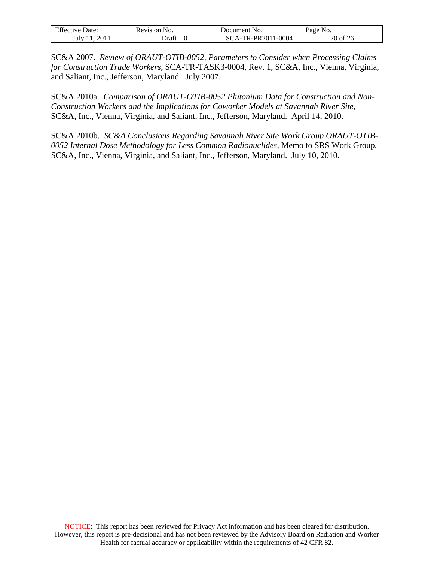| <b>Effective Date:</b>      | Revision No.                      | Document No.       | Page No. |
|-----------------------------|-----------------------------------|--------------------|----------|
| 2011<br>July 1 <sup>1</sup> | Draft<br>$\overline{\phantom{a}}$ | SCA-TR-PR2011-0004 | 20 of 26 |

SC&A 2007. *Review of ORAUT-OTIB-0052, Parameters to Consider when Processing Claims for Construction Trade Workers*, SCA-TR-TASK3-0004, Rev. 1, SC&A, Inc., Vienna, Virginia, and Saliant, Inc., Jefferson, Maryland. July 2007.

SC&A 2010a. *Comparison of ORAUT-OTIB-0052 Plutonium Data for Construction and Non-Construction Workers and the Implications for Coworker Models at Savannah River Site*, SC&A, Inc., Vienna, Virginia, and Saliant, Inc., Jefferson, Maryland. April 14, 2010.

SC&A 2010b. *SC&A Conclusions Regarding Savannah River Site Work Group ORAUT-OTIB-0052 Internal Dose Methodology for Less Common Radionuclides*, Memo to SRS Work Group, SC&A, Inc., Vienna, Virginia, and Saliant, Inc., Jefferson, Maryland. July 10, 2010.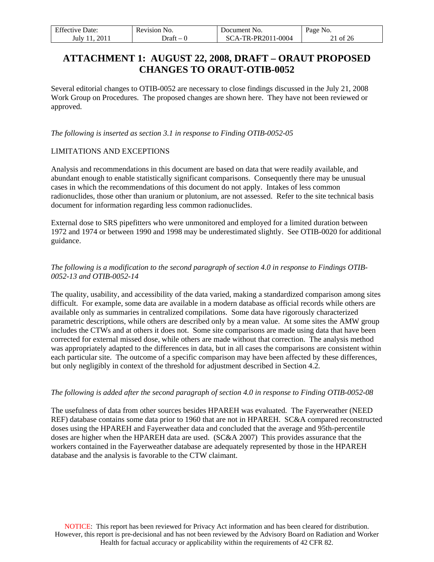<span id="page-20-0"></span>

| <b>Effective Date:</b> | Revision No. | Document No.       | Page No. |
|------------------------|--------------|--------------------|----------|
| 2011<br>July 11.       | $Draff - 1$  | SCA-TR-PR2011-0004 | 21 of 26 |

# **ATTACHMENT 1: AUGUST 22, 2008, DRAFT – ORAUT PROPOSED CHANGES TO ORAUT-OTIB-0052**

Several editorial changes to OTIB-0052 are necessary to close findings discussed in the July 21, 2008 Work Group on Procedures. The proposed changes are shown here. They have not been reviewed or approved.

*The following is inserted as section 3.1 in response to Finding OTIB-0052-05* 

#### LIMITATIONS AND EXCEPTIONS

Analysis and recommendations in this document are based on data that were readily available, and abundant enough to enable statistically significant comparisons. Consequently there may be unusual cases in which the recommendations of this document do not apply. Intakes of less common radionuclides, those other than uranium or plutonium, are not assessed. Refer to the site technical basis document for information regarding less common radionuclides.

External dose to SRS pipefitters who were unmonitored and employed for a limited duration between 1972 and 1974 or between 1990 and 1998 may be underestimated slightly. See OTIB-0020 for additional guidance.

### *The following is a modification to the second paragraph of section 4.0 in response to Findings OTIB-0052-13 and OTIB-0052-14*

The quality, usability, and accessibility of the data varied, making a standardized comparison among sites difficult. For example, some data are available in a modern database as official records while others are available only as summaries in centralized compilations. Some data have rigorously characterized parametric descriptions, while others are described only by a mean value. At some sites the AMW group includes the CTWs and at others it does not. Some site comparisons are made using data that have been corrected for external missed dose, while others are made without that correction. The analysis method was appropriately adapted to the differences in data, but in all cases the comparisons are consistent within each particular site. The outcome of a specific comparison may have been affected by these differences, but only negligibly in context of the threshold for adjustment described in Section 4.2.

#### *The following is added after the second paragraph of section 4.0 in response to Finding OTIB-0052-08*

The usefulness of data from other sources besides HPAREH was evaluated. The Fayerweather (NEED REF) database contains some data prior to 1960 that are not in HPAREH. SC&A compared reconstructed doses using the HPAREH and Fayerweather data and concluded that the average and 95th-percentile doses are higher when the HPAREH data are used. (SC&A 2007) This provides assurance that the workers contained in the Fayerweather database are adequately represented by those in the HPAREH database and the analysis is favorable to the CTW claimant.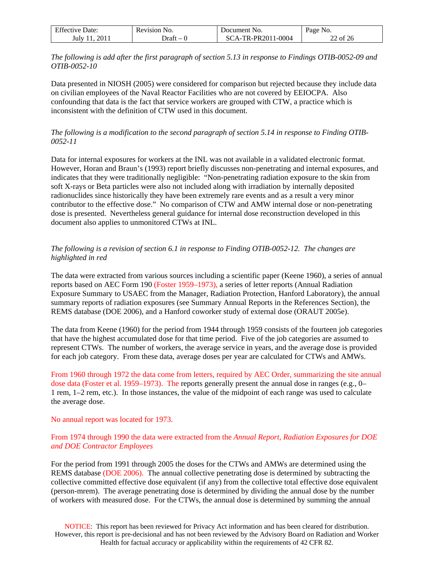| <b>Effective Date:</b> | Revision No. | Document No.       | Page No. |
|------------------------|--------------|--------------------|----------|
| 2011<br>July 11.       | Draft – 0    | SCA-TR-PR2011-0004 | 22 of 26 |

*The following is add after the first paragraph of section 5.13 in response to Findings OTIB-0052-09 and OTIB-0052-10* 

Data presented in NIOSH (2005) were considered for comparison but rejected because they include data on civilian employees of the Naval Reactor Facilities who are not covered by EEIOCPA. Also confounding that data is the fact that service workers are grouped with CTW, a practice which is inconsistent with the definition of CTW used in this document.

#### *The following is a modification to the second paragraph of section 5.14 in response to Finding OTIB-0052-11*

Data for internal exposures for workers at the INL was not available in a validated electronic format. However, Horan and Braun's (1993) report briefly discusses non-penetrating and internal exposures, and indicates that they were traditionally negligible: "Non-penetrating radiation exposure to the skin from soft X-rays or Beta particles were also not included along with irradiation by internally deposited radionuclides since historically they have been extremely rare events and as a result a very minor contributor to the effective dose." No comparison of CTW and AMW internal dose or non-penetrating dose is presented. Nevertheless general guidance for internal dose reconstruction developed in this document also applies to unmonitored CTWs at INL.

### *The following is a revision of section 6.1 in response to Finding OTIB-0052-12. The changes are highlighted in red*

The data were extracted from various sources including a scientific paper (Keene 1960), a series of annual reports based on AEC Form 190 (Foster 1959–1973), a series of letter reports (Annual Radiation Exposure Summary to USAEC from the Manager, Radiation Protection, Hanford Laboratory), the annual summary reports of radiation exposures (see Summary Annual Reports in the References Section), the REMS database (DOE 2006), and a Hanford coworker study of external dose (ORAUT 2005e).

The data from Keene (1960) for the period from 1944 through 1959 consists of the fourteen job categories that have the highest accumulated dose for that time period. Five of the job categories are assumed to represent CTWs. The number of workers, the average service in years, and the average dose is provided for each job category. From these data, average doses per year are calculated for CTWs and AMWs.

From 1960 through 1972 the data come from letters, required by AEC Order, summarizing the site annual dose data (Foster et al. 1959–1973). The reports generally present the annual dose in ranges (e.g., 0– 1 rem, 1–2 rem, etc.). In those instances, the value of the midpoint of each range was used to calculate the average dose.

#### No annual report was located for 1973.

### From 1974 through 1990 the data were extracted from the *Annual Report, Radiation Exposures for DOE and DOE Contractor Employees*

For the period from 1991 through 2005 the doses for the CTWs and AMWs are determined using the REMS database (DOE 2006). The annual collective penetrating dose is determined by subtracting the collective committed effective dose equivalent (if any) from the collective total effective dose equivalent (person-mrem). The average penetrating dose is determined by dividing the annual dose by the number of workers with measured dose. For the CTWs, the annual dose is determined by summing the annual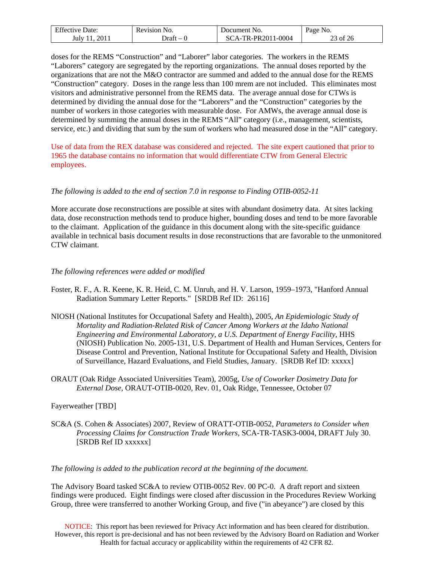| <b>Effective Date:</b> | Revision No.  | Document No.       | Page No. |
|------------------------|---------------|--------------------|----------|
| 2011<br>July 11.       | ⊃raft<br>$-1$ | SCA-TR-PR2011-0004 | 23 of 26 |

doses for the REMS "Construction" and "Laborer" labor categories. The workers in the REMS "Laborers" category are segregated by the reporting organizations. The annual doses reported by the organizations that are not the M&O contractor are summed and added to the annual dose for the REMS "Construction" category. Doses in the range less than 100 mrem are not included. This eliminates most visitors and administrative personnel from the REMS data. The average annual dose for CTWs is determined by dividing the annual dose for the "Laborers" and the "Construction" categories by the number of workers in those categories with measurable dose. For AMWs, the average annual dose is determined by summing the annual doses in the REMS "All" category (i.e., management, scientists, service, etc.) and dividing that sum by the sum of workers who had measured dose in the "All" category.

Use of data from the REX database was considered and rejected. The site expert cautioned that prior to 1965 the database contains no information that would differentiate CTW from General Electric employees.

#### *The following is added to the end of section 7.0 in response to Finding OTIB-0052-11*

More accurate dose reconstructions are possible at sites with abundant dosimetry data. At sites lacking data, dose reconstruction methods tend to produce higher, bounding doses and tend to be more favorable to the claimant. Application of the guidance in this document along with the site-specific guidance available in technical basis document results in dose reconstructions that are favorable to the unmonitored CTW claimant.

#### *The following references were added or modified*

- Foster, R. F., A. R. Keene, K. R. Heid, C. M. Unruh, and H. V. Larson, 1959–1973, "Hanford Annual Radiation Summary Letter Reports." [SRDB Ref ID: 26116]
- NIOSH (National Institutes for Occupational Safety and Health), 2005, *An Epidemiologic Study of Mortality and Radiation-Related Risk of Cancer Among Workers at the Idaho National Engineering and Environmental Laboratory, a U.S. Department of Energy Facility*, HHS (NIOSH) Publication No. 2005-131, U.S. Department of Health and Human Services, Centers for Disease Control and Prevention, National Institute for Occupational Safety and Health, Division of Surveillance, Hazard Evaluations, and Field Studies, January. [SRDB Ref ID: xxxxx]
- ORAUT (Oak Ridge Associated Universities Team), 2005g, *Use of Coworker Dosimetry Data for External Dose,* ORAUT-OTIB-0020, Rev. 01, Oak Ridge, Tennessee, October 07

#### Fayerweather [TBD]

SC&A (S. Cohen & Associates) 2007, Review of ORATT-OTIB-0052, *Parameters to Consider when Processing Claims for Construction Trade Workers*, SCA-TR-TASK3-0004, DRAFT July 30. [SRDB Ref ID xxxxxx]

*The following is added to the publication record at the beginning of the document.* 

The Advisory Board tasked SC&A to review OTIB-0052 Rev. 00 PC-0. A draft report and sixteen findings were produced. Eight findings were closed after discussion in the Procedures Review Working Group, three were transferred to another Working Group, and five ("in abeyance") are closed by this

NOTICE: This report has been reviewed for Privacy Act information and has been cleared for distribution. However, this report is pre-decisional and has not been reviewed by the Advisory Board on Radiation and Worker Health for factual accuracy or applicability within the requirements of 42 CFR 82.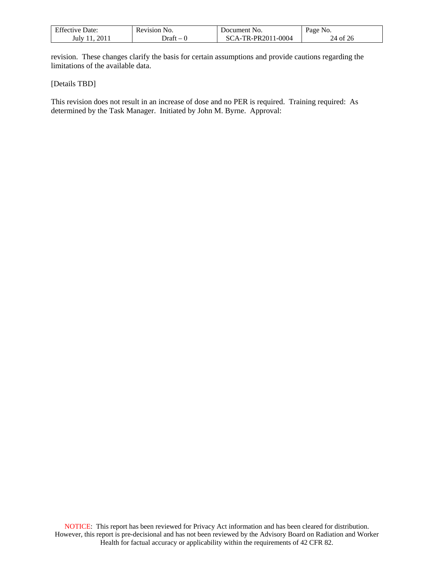| F C<br>Date:<br>Effective | Revision<br>NO.                   | Document No.                                   | <b>Page No.</b> |
|---------------------------|-----------------------------------|------------------------------------------------|-----------------|
| 2011<br>July '            | ⊃raft<br>$\overline{\phantom{a}}$ | 1-0004<br>F <b>R-PR20</b> 1<br>$\Delta$ -<br>╰ | 24 of<br>ZC     |

revision. These changes clarify the basis for certain assumptions and provide cautions regarding the limitations of the available data.

[Details TBD]

This revision does not result in an increase of dose and no PER is required. Training required: As determined by the Task Manager. Initiated by John M. Byrne. Approval: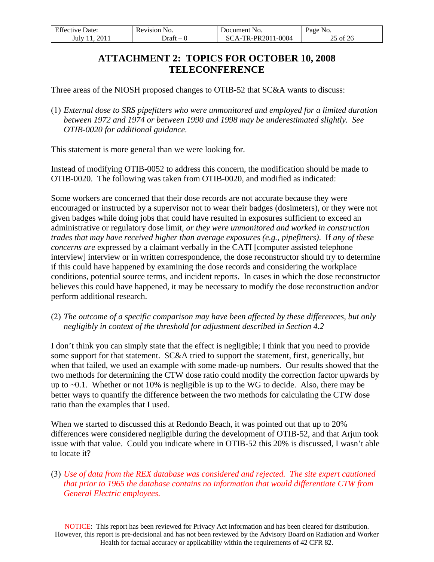<span id="page-24-0"></span>

| <b>Effective Date:</b> | Revision No. | Document No.       | Page No. |
|------------------------|--------------|--------------------|----------|
| 2011<br>July 11        | Draft –      | SCA-TR-PR2011-0004 | 25 of 26 |

# **ATTACHMENT 2: TOPICS FOR OCTOBER 10, 2008 TELECONFERENCE**

Three areas of the NIOSH proposed changes to OTIB-52 that SC&A wants to discuss:

 *External dose to SRS pipefitters who were unmonitored and employed for a limited duration between 1972 and 1974 or between 1990 and 1998 may be underestimated slightly. See OTIB-0020 for additional guidance.*

This statement is more general than we were looking for.

Instead of modifying OTIB-0052 to address this concern, the modification should be made to OTIB-0020. The following was taken from OTIB-0020, and modified as indicated:

Some workers are concerned that their dose records are not accurate because they were encouraged or instructed by a supervisor not to wear their badges (dosimeters), or they were not given badges while doing jobs that could have resulted in exposures sufficient to exceed an administrative or regulatory dose limit*, or they were unmonitored and worked in construction trades that may have received higher than average exposures (e.g., pipefitters)*. If *any of these concerns are* expressed by a claimant verbally in the CATI [computer assisted telephone interview] interview or in written correspondence, the dose reconstructor should try to determine if this could have happened by examining the dose records and considering the workplace conditions, potential source terms, and incident reports. In cases in which the dose reconstructor believes this could have happened, it may be necessary to modify the dose reconstruction and/or perform additional research.

 *The outcome of a specific comparison may have been affected by these differences, but only negligibly in context of the threshold for adjustment described in Section 4.2*

I don't think you can simply state that the effect is negligible; I think that you need to provide some support for that statement. SC&A tried to support the statement, first, generically, but when that failed, we used an example with some made-up numbers. Our results showed that the two methods for determining the CTW dose ratio could modify the correction factor upwards by up to ~0.1. Whether or not 10% is negligible is up to the WG to decide. Also, there may be better ways to quantify the difference between the two methods for calculating the CTW dose ratio than the examples that I used.

When we started to discussed this at Redondo Beach, it was pointed out that up to 20% differences were considered negligible during the development of OTIB-52, and that Arjun took issue with that value. Could you indicate where in OTIB-52 this 20% is discussed, I wasn't able to locate it?

 *Use of data from the REX database was considered and rejected. The site expert cautioned that prior to 1965 the database contains no information that would differentiate CTW from General Electric employees.* 

NOTICE: This report has been reviewed for Privacy Act information and has been cleared for distribution. However, this report is pre-decisional and has not been reviewed by the Advisory Board on Radiation and Worker Health for factual accuracy or applicability within the requirements of 42 CFR 82.